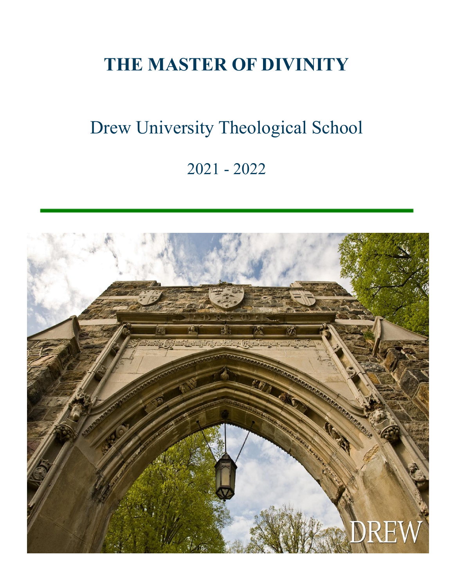# **THE MASTER OF DIVINITY**

# Drew University Theological School 2021 - 2022

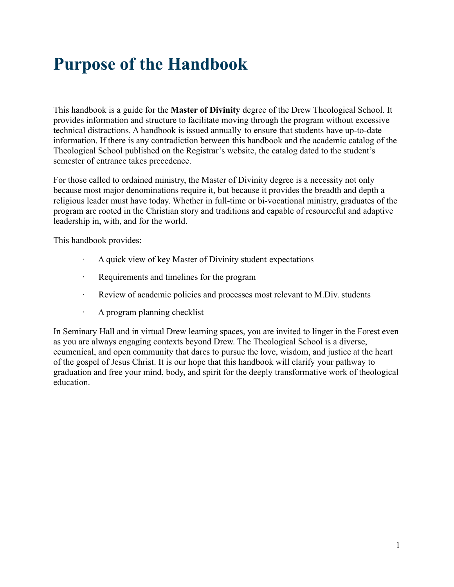# <span id="page-1-0"></span>**Purpose of the Handbook**

This handbook is a guide for the **Master of Divinity** degree of the Drew Theological School. It provides information and structure to facilitate moving through the program without excessive technical distractions. A handbook is issued annually to ensure that students have up-to-date information. If there is any contradiction between this handbook and the academic catalog of the Theological School published on the Registrar's website, the catalog dated to the student's semester of entrance takes precedence.

For those called to ordained ministry, the Master of Divinity degree is a necessity not only because most major denominations require it, but because it provides the breadth and depth a religious leader must have today. Whether in full-time or bi-vocational ministry, graduates of the program are rooted in the Christian story and traditions and capable of resourceful and adaptive leadership in, with, and for the world.

This handbook provides:

- A quick view of key Master of Divinity student expectations
- · Requirements and timelines for the program
- · Review of academic policies and processes most relevant to M.Div. students
- · A program planning checklist

In Seminary Hall and in virtual Drew learning spaces, you are invited to linger in the Forest even as you are always engaging contexts beyond Drew. The Theological School is a diverse, ecumenical, and open community that dares to pursue the love, wisdom, and justice at the heart of the gospel of Jesus Christ. It is our hope that this handbook will clarify your pathway to graduation and free your mind, body, and spirit for the deeply transformative work of theological education.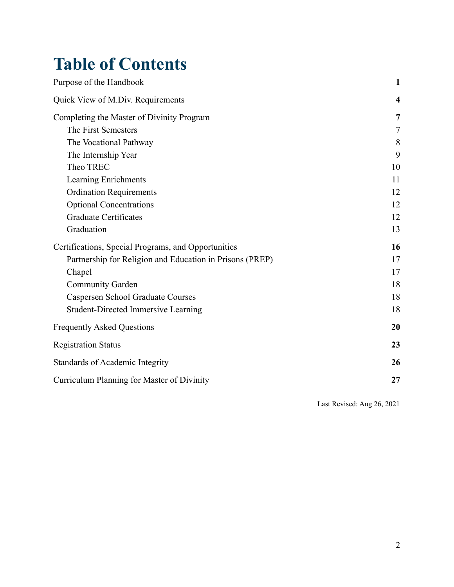### **Table of Contents**

| Purpose of the Handbook                                  | $\mathbf{1}$            |
|----------------------------------------------------------|-------------------------|
| Quick View of M.Div. Requirements                        | $\overline{\mathbf{4}}$ |
| Completing the Master of Divinity Program                | 7                       |
| The First Semesters                                      | 7                       |
| The Vocational Pathway                                   | 8                       |
| The Internship Year                                      | 9                       |
| Theo TREC                                                | 10                      |
| Learning Enrichments                                     | 11                      |
| <b>Ordination Requirements</b>                           | 12                      |
| <b>Optional Concentrations</b>                           | 12                      |
| <b>Graduate Certificates</b>                             | 12                      |
| Graduation                                               | 13                      |
| Certifications, Special Programs, and Opportunities      | 16                      |
| Partnership for Religion and Education in Prisons (PREP) | 17                      |
| Chapel                                                   | 17                      |
| <b>Community Garden</b>                                  | 18                      |
| <b>Caspersen School Graduate Courses</b>                 | 18                      |
| <b>Student-Directed Immersive Learning</b>               | 18                      |
| <b>Frequently Asked Questions</b>                        | 20                      |
| <b>Registration Status</b>                               | 23                      |
| Standards of Academic Integrity                          | 26                      |
| Curriculum Planning for Master of Divinity               | 27                      |

Last Revised: Aug 26, 2021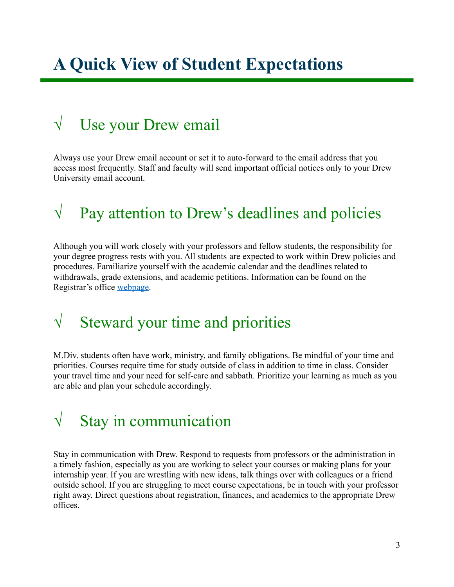# **A Quick View of Student Expectations**

### $\sqrt{\phantom{a}}$  Use your Drew email

Always use your Drew email account or set it to auto-forward to the email address that you access most frequently. Staff and faculty will send important official notices only to your Drew University email account.

### $\sqrt{\phantom{a}}$  Pay attention to Drew's deadlines and policies

Although you will work closely with your professors and fellow students, the responsibility for your degree progress rests with you. All students are expected to work within Drew policies and procedures. Familiarize yourself with the academic calendar and the deadlines related to withdrawals, grade extensions, and academic petitions. Information can be found on the Registrar's office [webpage.](http://www.drew.edu/registrars-office/)

### $\sqrt{\phantom{a}}$  Steward your time and priorities

M.Div. students often have work, ministry, and family obligations. Be mindful of your time and priorities. Courses require time for study outside of class in addition to time in class. Consider your travel time and your need for self-care and sabbath. Prioritize your learning as much as you are able and plan your schedule accordingly.

### $\sqrt{\phantom{a}}$  Stay in communication

Stay in communication with Drew. Respond to requests from professors or the administration in a timely fashion, especially as you are working to select your courses or making plans for your internship year. If you are wrestling with new ideas, talk things over with colleagues or a friend outside school. If you are struggling to meet course expectations, be in touch with your professor right away. Direct questions about registration, finances, and academics to the appropriate Drew offices.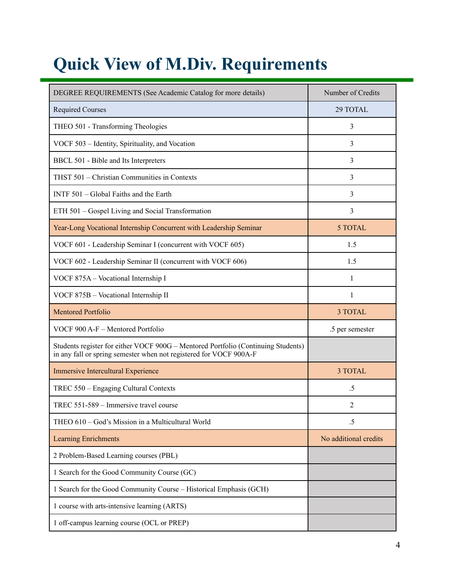# <span id="page-4-0"></span>**Quick View of M.Div. Requirements**

| DEGREE REQUIREMENTS (See Academic Catalog for more details)                                                                                             | Number of Credits     |
|---------------------------------------------------------------------------------------------------------------------------------------------------------|-----------------------|
| <b>Required Courses</b>                                                                                                                                 | 29 TOTAL              |
| THEO 501 - Transforming Theologies                                                                                                                      | 3                     |
| VOCF 503 – Identity, Spirituality, and Vocation                                                                                                         | 3                     |
| BBCL 501 - Bible and Its Interpreters                                                                                                                   | 3                     |
| THST 501 - Christian Communities in Contexts                                                                                                            | 3                     |
| INTF 501 - Global Faiths and the Earth                                                                                                                  | 3                     |
| ETH 501 - Gospel Living and Social Transformation                                                                                                       | 3                     |
| Year-Long Vocational Internship Concurrent with Leadership Seminar                                                                                      | 5 TOTAL               |
| VOCF 601 - Leadership Seminar I (concurrent with VOCF 605)                                                                                              | 1.5                   |
| VOCF 602 - Leadership Seminar II (concurrent with VOCF 606)                                                                                             | 1.5                   |
| VOCF 875A - Vocational Internship I                                                                                                                     | 1                     |
| VOCF 875B - Vocational Internship II                                                                                                                    | $\mathbf{1}$          |
| <b>Mentored Portfolio</b>                                                                                                                               | 3 TOTAL               |
| VOCF 900 A-F - Mentored Portfolio                                                                                                                       | .5 per semester       |
| Students register for either VOCF 900G - Mentored Portfolio (Continuing Students)<br>in any fall or spring semester when not registered for VOCF 900A-F |                       |
| <b>Immersive Intercultural Experience</b>                                                                                                               | 3 TOTAL               |
| TREC 550 - Engaging Cultural Contexts                                                                                                                   | .5                    |
| TREC 551-589 – Immersive travel course                                                                                                                  | 2                     |
| THEO 610 - God's Mission in a Multicultural World                                                                                                       | $.5\,$                |
| <b>Learning Enrichments</b>                                                                                                                             | No additional credits |
| 2 Problem-Based Learning courses (PBL)                                                                                                                  |                       |
| 1 Search for the Good Community Course (GC)                                                                                                             |                       |
| 1 Search for the Good Community Course - Historical Emphasis (GCH)                                                                                      |                       |
| 1 course with arts-intensive learning (ARTS)                                                                                                            |                       |
| 1 off-campus learning course (OCL or PREP)                                                                                                              |                       |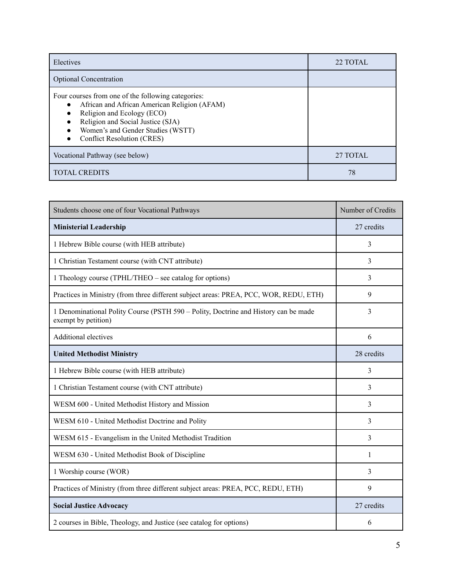| Electives                                                                                                                                                                                                                                       | 22 TOTAL |
|-------------------------------------------------------------------------------------------------------------------------------------------------------------------------------------------------------------------------------------------------|----------|
| <b>Optional Concentration</b>                                                                                                                                                                                                                   |          |
| Four courses from one of the following categories:<br>African and African American Religion (AFAM)<br>Religion and Ecology (ECO)<br>Religion and Social Justice (SJA)<br>Women's and Gender Studies (WSTT)<br><b>Conflict Resolution (CRES)</b> |          |
| Vocational Pathway (see below)                                                                                                                                                                                                                  | 27 TOTAL |
| <b>TOTAL CREDITS</b>                                                                                                                                                                                                                            | 78       |

| Students choose one of four Vocational Pathways                                                            | Number of Credits |
|------------------------------------------------------------------------------------------------------------|-------------------|
| <b>Ministerial Leadership</b>                                                                              | 27 credits        |
| 1 Hebrew Bible course (with HEB attribute)                                                                 | 3                 |
| 1 Christian Testament course (with CNT attribute)                                                          | 3                 |
| 1 Theology course (TPHL/THEO – see catalog for options)                                                    | 3                 |
| Practices in Ministry (from three different subject areas: PREA, PCC, WOR, REDU, ETH)                      | 9                 |
| 1 Denominational Polity Course (PSTH 590 – Polity, Doctrine and History can be made<br>exempt by petition) | 3                 |
| <b>Additional electives</b>                                                                                | 6                 |
| <b>United Methodist Ministry</b>                                                                           | 28 credits        |
| 1 Hebrew Bible course (with HEB attribute)                                                                 | 3                 |
| 1 Christian Testament course (with CNT attribute)                                                          | $\overline{3}$    |
| WESM 600 - United Methodist History and Mission                                                            | $\overline{3}$    |
| WESM 610 - United Methodist Doctrine and Polity                                                            | 3                 |
| WESM 615 - Evangelism in the United Methodist Tradition                                                    | 3                 |
| WESM 630 - United Methodist Book of Discipline                                                             | 1                 |
| 1 Worship course (WOR)                                                                                     | 3                 |
| Practices of Ministry (from three different subject areas: PREA, PCC, REDU, ETH)                           | 9                 |
| <b>Social Justice Advocacy</b>                                                                             | 27 credits        |
| 2 courses in Bible, Theology, and Justice (see catalog for options)                                        | 6                 |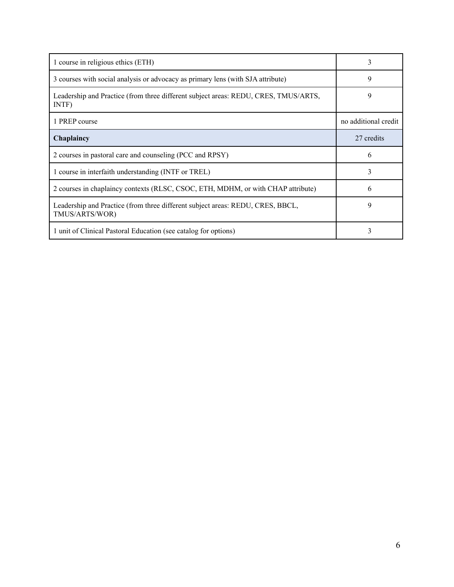| 1 course in religious ethics (ETH)                                                               | 3                    |
|--------------------------------------------------------------------------------------------------|----------------------|
| 3 courses with social analysis or advocacy as primary lens (with SJA attribute)                  | 9                    |
| Leadership and Practice (from three different subject areas: REDU, CRES, TMUS/ARTS,<br>INTF)     | 9                    |
| 1 PREP course                                                                                    | no additional credit |
| Chaplaincy                                                                                       | 27 credits           |
| 2 courses in pastoral care and counseling (PCC and RPSY)                                         | 6                    |
| 1 course in interfaith understanding (INTF or TREL)                                              | 3                    |
| 2 courses in chaplaincy contexts (RLSC, CSOC, ETH, MDHM, or with CHAP attribute)                 | 6                    |
| Leadership and Practice (from three different subject areas: REDU, CRES, BBCL,<br>TMUS/ARTS/WOR) | 9                    |
| 1 unit of Clinical Pastoral Education (see catalog for options)                                  | 3                    |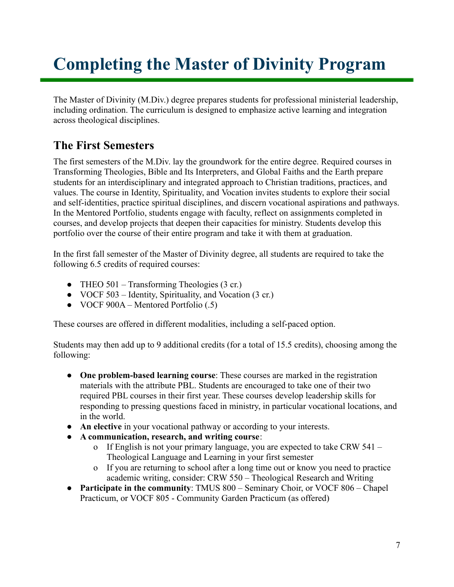# <span id="page-7-0"></span>**Completing the Master of Divinity Program**

The Master of Divinity (M.Div.) degree prepares students for professional ministerial leadership, including ordination. The curriculum is designed to emphasize active learning and integration across theological disciplines.

### <span id="page-7-1"></span>**The First Semesters**

The first semesters of the M.Div. lay the groundwork for the entire degree. Required courses in Transforming Theologies, Bible and Its Interpreters, and Global Faiths and the Earth prepare students for an interdisciplinary and integrated approach to Christian traditions, practices, and values. The course in Identity, Spirituality, and Vocation invites students to explore their social and self-identities, practice spiritual disciplines, and discern vocational aspirations and pathways. In the Mentored Portfolio, students engage with faculty, reflect on assignments completed in courses, and develop projects that deepen their capacities for ministry. Students develop this portfolio over the course of their entire program and take it with them at graduation.

In the first fall semester of the Master of Divinity degree, all students are required to take the following 6.5 credits of required courses:

- THEO 501 Transforming Theologies (3 cr.)
- VOCF 503 Identity, Spirituality, and Vocation (3 cr.)
- $\bullet$  VOCF 900A Mentored Portfolio (.5)

These courses are offered in different modalities, including a self-paced option.

Students may then add up to 9 additional credits (for a total of 15.5 credits), choosing among the following:

- **One problem-based learning course**: These courses are marked in the registration materials with the attribute PBL. Students are encouraged to take one of their two required PBL courses in their first year. These courses develop leadership skills for responding to pressing questions faced in ministry, in particular vocational locations, and in the world.
- **An elective** in your vocational pathway or according to your interests.
- **A communication, research, and writing course**:
	- o If English is not your primary language, you are expected to take CRW 541 Theological Language and Learning in your first semester
	- o If you are returning to school after a long time out or know you need to practice academic writing, consider: CRW 550 – Theological Research and Writing
- **Participate in the community**: TMUS 800 Seminary Choir, or VOCF 806 Chapel Practicum, or VOCF 805 - Community Garden Practicum (as offered)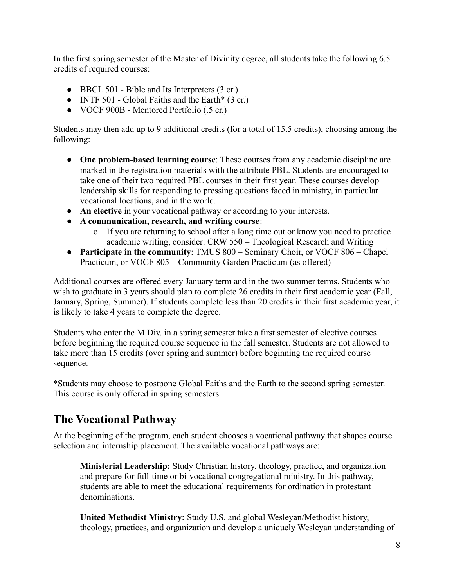In the first spring semester of the Master of Divinity degree, all students take the following 6.5 credits of required courses:

- BBCL 501 Bible and Its Interpreters (3 cr.)
- INTF 501 Global Faiths and the Earth $*(3 \text{ cr.})$
- VOCF 900B Mentored Portfolio (.5 cr.)

Students may then add up to 9 additional credits (for a total of 15.5 credits), choosing among the following:

- **One problem-based learning course**: These courses from any academic discipline are marked in the registration materials with the attribute PBL. Students are encouraged to take one of their two required PBL courses in their first year. These courses develop leadership skills for responding to pressing questions faced in ministry, in particular vocational locations, and in the world.
- **An elective** in your vocational pathway or according to your interests.
- **A communication, research, and writing course**:
	- o If you are returning to school after a long time out or know you need to practice academic writing, consider: CRW 550 – Theological Research and Writing
- **Participate in the community**: TMUS 800 Seminary Choir, or VOCF 806 Chapel Practicum, or VOCF 805 – Community Garden Practicum (as offered)

Additional courses are offered every January term and in the two summer terms. Students who wish to graduate in 3 years should plan to complete 26 credits in their first academic year (Fall, January, Spring, Summer). If students complete less than 20 credits in their first academic year, it is likely to take 4 years to complete the degree.

Students who enter the M.Div. in a spring semester take a first semester of elective courses before beginning the required course sequence in the fall semester. Students are not allowed to take more than 15 credits (over spring and summer) before beginning the required course sequence.

\*Students may choose to postpone Global Faiths and the Earth to the second spring semester. This course is only offered in spring semesters.

### <span id="page-8-0"></span>**The Vocational Pathway**

At the beginning of the program, each student chooses a vocational pathway that shapes course selection and internship placement. The available vocational pathways are:

**Ministerial Leadership:** Study Christian history, theology, practice, and organization and prepare for full-time or bi-vocational congregational ministry. In this pathway, students are able to meet the educational requirements for ordination in protestant denominations.

**United Methodist Ministry:** Study U.S. and global Wesleyan/Methodist history, theology, practices, and organization and develop a uniquely Wesleyan understanding of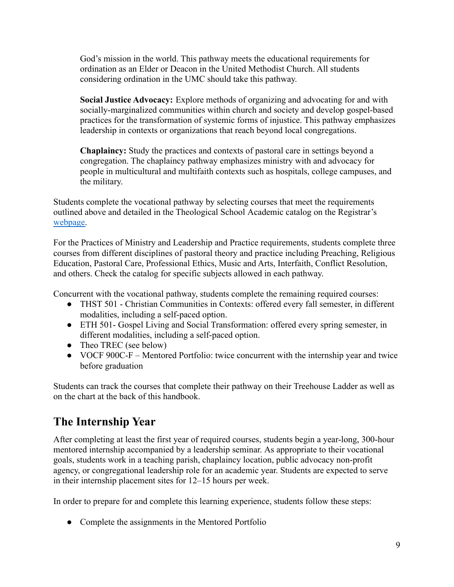God's mission in the world. This pathway meets the educational requirements for ordination as an Elder or Deacon in the United Methodist Church. All students considering ordination in the UMC should take this pathway.

**Social Justice Advocacy:** Explore methods of organizing and advocating for and with socially-marginalized communities within church and society and develop gospel-based practices for the transformation of systemic forms of injustice. This pathway emphasizes leadership in contexts or organizations that reach beyond local congregations.

**Chaplaincy:** Study the practices and contexts of pastoral care in settings beyond a congregation. The chaplaincy pathway emphasizes ministry with and advocacy for people in multicultural and multifaith contexts such as hospitals, college campuses, and the military.

Students complete the vocational pathway by selecting courses that meet the requirements outlined above and detailed in the Theological School Academic catalog on the Registrar's [webpage.](http://catalog.drew.edu/index.php)

For the Practices of Ministry and Leadership and Practice requirements, students complete three courses from different disciplines of pastoral theory and practice including Preaching, Religious Education, Pastoral Care, Professional Ethics, Music and Arts, Interfaith, Conflict Resolution, and others. Check the catalog for specific subjects allowed in each pathway.

Concurrent with the vocational pathway, students complete the remaining required courses:

- THST 501 Christian Communities in Contexts: offered every fall semester, in different modalities, including a self-paced option.
- ETH 501- Gospel Living and Social Transformation: offered every spring semester, in different modalities, including a self-paced option.
- Theo TREC (see below)
- VOCF 900C-F Mentored Portfolio: twice concurrent with the internship year and twice before graduation

Students can track the courses that complete their pathway on their Treehouse Ladder as well as on the chart at the back of this handbook.

#### <span id="page-9-0"></span>**The Internship Year**

After completing at least the first year of required courses, students begin a year-long, 300-hour mentored internship accompanied by a leadership seminar. As appropriate to their vocational goals, students work in a teaching parish, chaplaincy location, public advocacy non-profit agency, or congregational leadership role for an academic year. Students are expected to serve in their internship placement sites for 12–15 hours per week.

In order to prepare for and complete this learning experience, students follow these steps:

• Complete the assignments in the Mentored Portfolio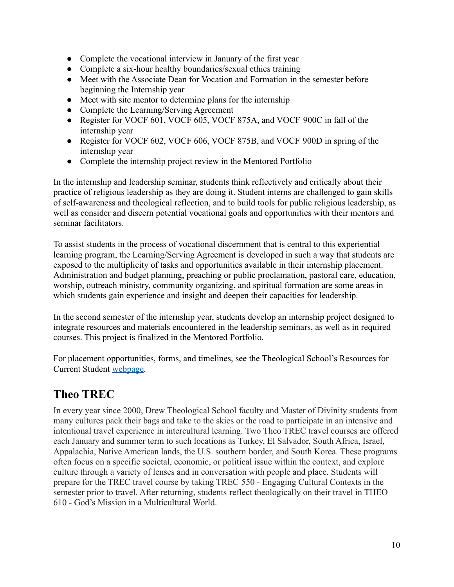- Complete the vocational interview in January of the first year
- Complete a six-hour healthy boundaries/sexual ethics training
- Meet with the Associate Dean for Vocation and Formation in the semester before beginning the Internship year
- Meet with site mentor to determine plans for the internship
- Complete the Learning/Serving Agreement
- Register for VOCF 601, VOCF 605, VOCF 875A, and VOCF 900C in fall of the internship year
- Register for VOCF 602, VOCF 606, VOCF 875B, and VOCF 900D in spring of the internship year
- Complete the internship project review in the Mentored Portfolio

In the internship and leadership seminar, students think reflectively and critically about their practice of religious leadership as they are doing it. Student interns are challenged to gain skills of self-awareness and theological reflection, and to build tools for public religious leadership, as well as consider and discern potential vocational goals and opportunities with their mentors and seminar facilitators.

To assist students in the process of vocational discernment that is central to this experiential learning program, the Learning/Serving Agreement is developed in such a way that students are exposed to the multiplicity of tasks and opportunities available in their internship placement. Administration and budget planning, preaching or public proclamation, pastoral care, education, worship, outreach ministry, community organizing, and spiritual formation are some areas in which students gain experience and insight and deepen their capacities for leadership.

In the second semester of the internship year, students develop an internship project designed to integrate resources and materials encountered in the leadership seminars, as well as in required courses. This project is finalized in the Mentored Portfolio.

For placement opportunities, forms, and timelines, see the Theological School's Resources for Current Student [webpage.](http://www.drew.edu/theological-school/resources/)

### <span id="page-10-0"></span>**Theo TREC**

In every year since 2000, Drew Theological School faculty and Master of Divinity students from many cultures pack their bags and take to the skies or the road to participate in an intensive and intentional travel experience in intercultural learning. Two Theo TREC travel courses are offered each January and summer term to such locations as Turkey, El Salvador, South Africa, Israel, Appalachia, Native American lands, the U.S. southern border, and South Korea. These programs often focus on a specific societal, economic, or political issue within the context, and explore culture through a variety of lenses and in conversation with people and place. Students will prepare for the TREC travel course by taking TREC 550 - Engaging Cultural Contexts in the semester prior to travel. After returning, students reflect theologically on their travel in THEO 610 - God's Mission in a Multicultural World.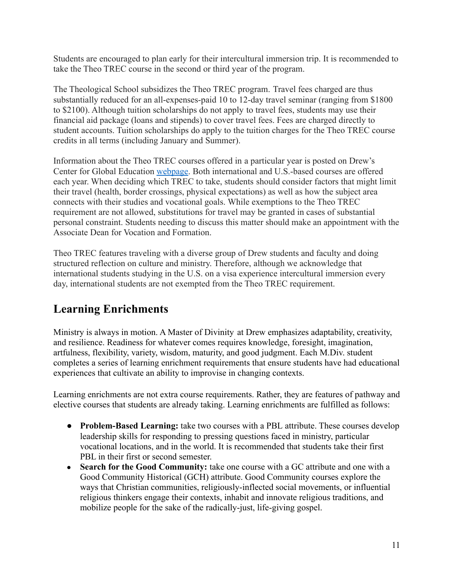Students are encouraged to plan early for their intercultural immersion trip. It is recommended to take the Theo TREC course in the second or third year of the program.

The Theological School subsidizes the Theo TREC program. Travel fees charged are thus substantially reduced for an all-expenses-paid 10 to 12-day travel seminar (ranging from \$1800 to \$2100). Although tuition scholarships do not apply to travel fees, students may use their financial aid package (loans and stipends) to cover travel fees. Fees are charged directly to student accounts. Tuition scholarships do apply to the tuition charges for the Theo TREC course credits in all terms (including January and Summer).

Information about the Theo TREC courses offered in a particular year is posted on Drew's Center for Global Education [webpage.](http://www.drew.edu/global-education/) Both international and U.S.-based courses are offered each year. When deciding which TREC to take, students should consider factors that might limit their travel (health, border crossings, physical expectations) as well as how the subject area connects with their studies and vocational goals. While exemptions to the Theo TREC requirement are not allowed, substitutions for travel may be granted in cases of substantial personal constraint. Students needing to discuss this matter should make an appointment with the Associate Dean for Vocation and Formation.

Theo TREC features traveling with a diverse group of Drew students and faculty and doing structured reflection on culture and ministry. Therefore, although we acknowledge that international students studying in the U.S. on a visa experience intercultural immersion every day, international students are not exempted from the Theo TREC requirement.

### <span id="page-11-0"></span>**Learning Enrichments**

Ministry is always in motion. A Master of Divinity at Drew emphasizes adaptability, creativity, and resilience. Readiness for whatever comes requires knowledge, foresight, imagination, artfulness, flexibility, variety, wisdom, maturity, and good judgment. Each M.Div. student completes a series of learning enrichment requirements that ensure students have had educational experiences that cultivate an ability to improvise in changing contexts.

Learning enrichments are not extra course requirements. Rather, they are features of pathway and elective courses that students are already taking. Learning enrichments are fulfilled as follows:

- **Problem-Based Learning:** take two courses with a PBL attribute. These courses develop leadership skills for responding to pressing questions faced in ministry, particular vocational locations, and in the world. It is recommended that students take their first PBL in their first or second semester.
- **Search for the Good Community:** take one course with a GC attribute and one with a Good Community Historical (GCH) attribute. Good Community courses explore the ways that Christian communities, religiously-inflected social movements, or influential religious thinkers engage their contexts, inhabit and innovate religious traditions, and mobilize people for the sake of the radically-just, life-giving gospel.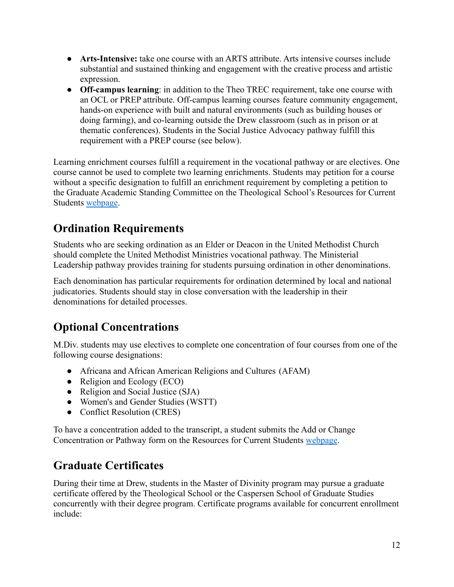- **● Arts-Intensive:** take one course with an ARTS attribute. Arts intensive courses include substantial and sustained thinking and engagement with the creative process and artistic expression.
- **● Off-campus learning**: in addition to the Theo TREC requirement, take one course with an OCL or PREP attribute. Off-campus learning courses feature community engagement, hands-on experience with built and natural environments (such as building houses or doing farming), and co-learning outside the Drew classroom (such as in prison or at thematic conferences). Students in the Social Justice Advocacy pathway fulfill this requirement with a PREP course (see below).

Learning enrichment courses fulfill a requirement in the vocational pathway or are electives. One course cannot be used to complete two learning enrichments. Students may petition for a course without a specific designation to fulfill an enrichment requirement by completing a petition to the Graduate Academic Standing Committee on the Theological School's Resources for Current Students [webpage.](http://www.drew.edu/theological-school/resources/)

### <span id="page-12-0"></span>**Ordination Requirements**

Students who are seeking ordination as an Elder or Deacon in the United Methodist Church should complete the United Methodist Ministries vocational pathway. The Ministerial Leadership pathway provides training for students pursuing ordination in other denominations.

Each denomination has particular requirements for ordination determined by local and national judicatories. Students should stay in close conversation with the leadership in their denominations for detailed processes.

### <span id="page-12-1"></span>**Optional Concentrations**

M.Div. students may use electives to complete one concentration of four courses from one of the following course designations:

- Africana and African American Religions and Cultures (AFAM)
- Religion and Ecology (ECO)
- Religion and Social Justice (SJA)
- Women's and Gender Studies (WSTT)
- Conflict Resolution (CRES)

To have a concentration added to the transcript, a student submits the Add or Change Concentration or Pathway form on the Resources for Current Students [webpage](http://www.drew.edu/theological-school/resources/).

### <span id="page-12-2"></span>**Graduate Certificates**

During their time at Drew, students in the Master of Divinity program may pursue a graduate certificate offered by the Theological School or the Caspersen School of Graduate Studies concurrently with their degree program. Certificate programs available for concurrent enrollment include: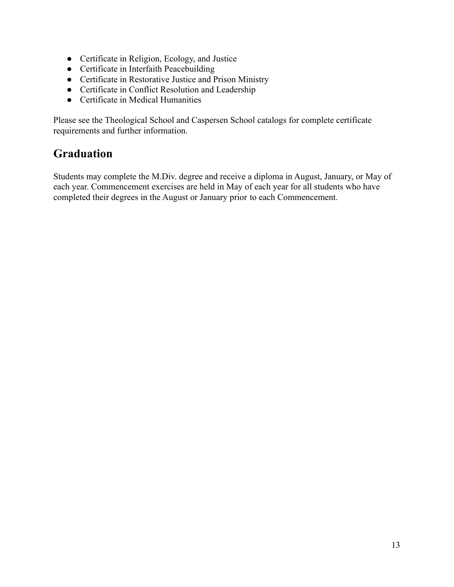- Certificate in Religion, Ecology, and Justice
- Certificate in Interfaith Peacebuilding
- Certificate in Restorative Justice and Prison Ministry
- Certificate in Conflict Resolution and Leadership
- Certificate in Medical Humanities

Please see the Theological School and Caspersen School catalogs for complete certificate requirements and further information.

#### <span id="page-13-0"></span>**Graduation**

Students may complete the M.Div. degree and receive a diploma in August, January, or May of each year. Commencement exercises are held in May of each year for all students who have completed their degrees in the August or January prior to each Commencement.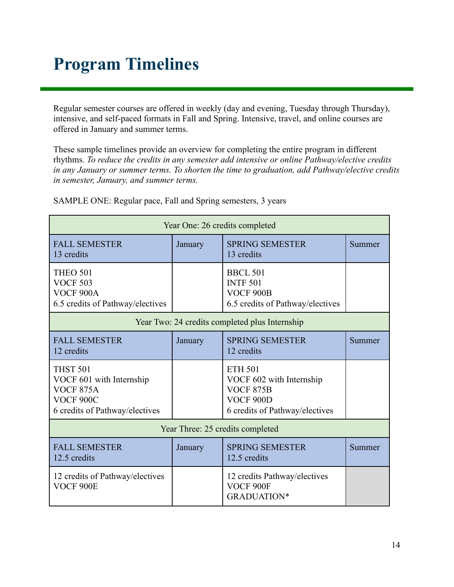# **Program Timelines**

Regular semester courses are offered in weekly (day and evening, Tuesday through Thursday), intensive, and self-paced formats in Fall and Spring. Intensive, travel, and online courses are offered in January and summer terms.

These sample timelines provide an overview for completing the entire program in different rhythms. *To reduce the credits in any semester add intensive or online Pathway/elective credits in any January or summer terms. To shorten the time to graduation, add Pathway/elective credits in semester, January, and summer terms.*

| Year One: 26 credits completed                                                                                 |         |                                                                                                               |        |
|----------------------------------------------------------------------------------------------------------------|---------|---------------------------------------------------------------------------------------------------------------|--------|
| <b>FALL SEMESTER</b><br>13 credits                                                                             | January | <b>SPRING SEMESTER</b><br>13 credits                                                                          | Summer |
| <b>THEO 501</b><br><b>VOCF 503</b><br>VOCF <sub>900</sub> A<br>6.5 credits of Pathway/electives                |         | <b>BBCL 501</b><br><b>INTF 501</b><br><b>VOCF 900B</b><br>6.5 credits of Pathway/electives                    |        |
| Year Two: 24 credits completed plus Internship                                                                 |         |                                                                                                               |        |
| <b>FALL SEMESTER</b><br>12 credits                                                                             | January | <b>SPRING SEMESTER</b><br>12 credits                                                                          | Summer |
| <b>THST 501</b><br>VOCF 601 with Internship<br><b>VOCF 875A</b><br>VOCF 900C<br>6 credits of Pathway/electives |         | <b>ETH 501</b><br>VOCF 602 with Internship<br><b>VOCF 875B</b><br>VOCF 900D<br>6 credits of Pathway/electives |        |
| Year Three: 25 credits completed                                                                               |         |                                                                                                               |        |
| <b>FALL SEMESTER</b><br>12.5 credits                                                                           | January | <b>SPRING SEMESTER</b><br>12.5 credits                                                                        | Summer |
| 12 credits of Pathway/electives<br>VOCF <sub>900E</sub>                                                        |         | 12 credits Pathway/electives<br>VOCF 900F<br><b>GRADUATION*</b>                                               |        |

SAMPLE ONE: Regular pace, Fall and Spring semesters, 3 years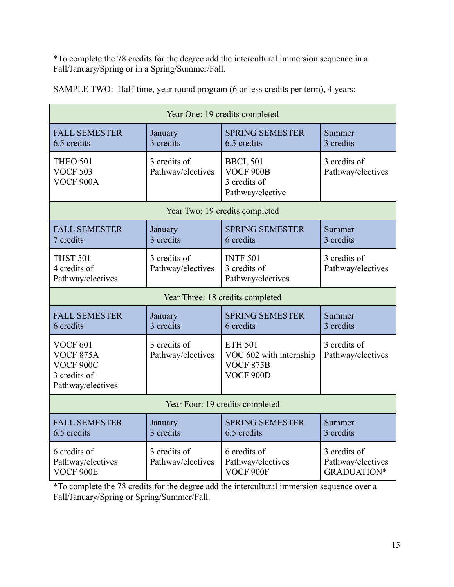\*To complete the 78 credits for the degree add the intercultural immersion sequence in a Fall/January/Spring or in a Spring/Summer/Fall.

| Year One: 19 credits completed                                                        |                                   |                                                                                   |                                                         |
|---------------------------------------------------------------------------------------|-----------------------------------|-----------------------------------------------------------------------------------|---------------------------------------------------------|
| <b>FALL SEMESTER</b><br>6.5 credits                                                   | January<br>3 credits              | <b>SPRING SEMESTER</b><br>6.5 credits                                             | Summer<br>3 credits                                     |
| <b>THEO 501</b><br><b>VOCF 503</b><br>VOCF <sub>900</sub> A                           | 3 credits of<br>Pathway/electives | <b>BBCL 501</b><br><b>VOCF 900B</b><br>3 credits of<br>Pathway/elective           | 3 credits of<br>Pathway/electives                       |
|                                                                                       |                                   | Year Two: 19 credits completed                                                    |                                                         |
| <b>FALL SEMESTER</b><br>7 credits                                                     | January<br>3 credits              | <b>SPRING SEMESTER</b><br>6 credits                                               | Summer<br>3 credits                                     |
| <b>THST 501</b><br>4 credits of<br>Pathway/electives                                  | 3 credits of<br>Pathway/electives | <b>INTF 501</b><br>3 credits of<br>Pathway/electives                              | 3 credits of<br>Pathway/electives                       |
| Year Three: 18 credits completed                                                      |                                   |                                                                                   |                                                         |
| <b>FALL SEMESTER</b><br>6 credits                                                     | January<br>3 credits              | <b>SPRING SEMESTER</b><br>6 credits                                               | Summer<br>3 credits                                     |
| <b>VOCF 601</b><br><b>VOCF 875A</b><br>VOCF 900C<br>3 credits of<br>Pathway/electives | 3 credits of<br>Pathway/electives | <b>ETH 501</b><br>VOC 602 with internship<br><b>VOCF 875B</b><br><b>VOCF 900D</b> | 3 credits of<br>Pathway/electives                       |
| Year Four: 19 credits completed                                                       |                                   |                                                                                   |                                                         |
| <b>FALL SEMESTER</b><br>6.5 credits                                                   | January<br>3 credits              | <b>SPRING SEMESTER</b><br>6.5 credits                                             | Summer<br>3 credits                                     |
| 6 credits of<br>Pathway/electives<br>VOCF 900E                                        | 3 credits of<br>Pathway/electives | 6 credits of<br>Pathway/electives<br>VOCF 900F                                    | 3 credits of<br>Pathway/electives<br><b>GRADUATION*</b> |

SAMPLE TWO: Half-time, year round program (6 or less credits per term), 4 years:

\*To complete the 78 credits for the degree add the intercultural immersion sequence over a Fall/January/Spring or Spring/Summer/Fall.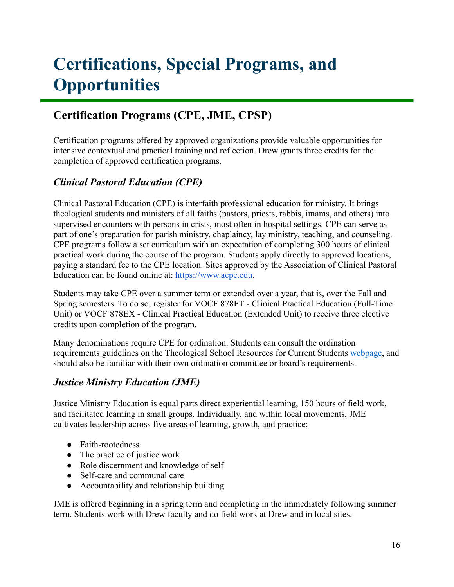# <span id="page-16-0"></span>**Certifications, Special Programs, and Opportunities**

### **Certification Programs (CPE, JME, CPSP)**

Certification programs offered by approved organizations provide valuable opportunities for intensive contextual and practical training and reflection. Drew grants three credits for the completion of approved certification programs.

#### *Clinical Pastoral Education (CPE)*

Clinical Pastoral Education (CPE) is interfaith professional education for ministry. It brings theological students and ministers of all faiths (pastors, priests, rabbis, imams, and others) into supervised encounters with persons in crisis, most often in hospital settings. CPE can serve as part of one's preparation for parish ministry, chaplaincy, lay ministry, teaching, and counseling. CPE programs follow a set curriculum with an expectation of completing 300 hours of clinical practical work during the course of the program. Students apply directly to approved locations, paying a standard fee to the CPE location. Sites approved by the Association of Clinical Pastoral Education can be found online at: <https://www.acpe.edu>.

Students may take CPE over a summer term or extended over a year, that is, over the Fall and Spring semesters. To do so, register for VOCF 878FT - Clinical Practical Education (Full-Time Unit) or VOCF 878EX - Clinical Practical Education (Extended Unit) to receive three elective credits upon completion of the program.

Many denominations require CPE for ordination. Students can consult the ordination requirements guidelines on the Theological School Resources for Current Students [webpage](http://www.drew.edu/theological-school/resources/), and should also be familiar with their own ordination committee or board's requirements.

#### *Justice Ministry Education (JME)*

Justice Ministry Education is equal parts direct experiential learning, 150 hours of field work, and facilitated learning in small groups. Individually, and within local movements, JME cultivates leadership across five areas of learning, growth, and practice:

- Faith-rootedness
- The practice of justice work
- Role discernment and knowledge of self
- Self-care and communal care
- Accountability and relationship building

JME is offered beginning in a spring term and completing in the immediately following summer term. Students work with Drew faculty and do field work at Drew and in local sites.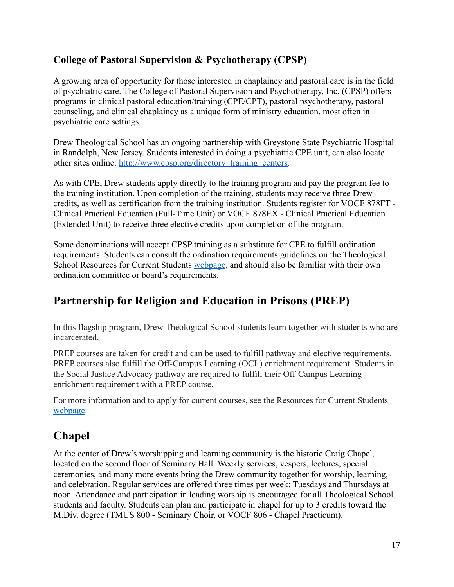#### **College of Pastoral Supervision & Psychotherapy (CPSP)**

A growing area of opportunity for those interested in chaplaincy and pastoral care is in the field of psychiatric care. The College of Pastoral Supervision and Psychotherapy, Inc. (CPSP) offers programs in clinical pastoral education/training (CPE/CPT), pastoral psychotherapy, pastoral counseling, and clinical chaplaincy as a unique form of ministry education, most often in psychiatric care settings.

Drew Theological School has an ongoing partnership with Greystone State Psychiatric Hospital in Randolph, New Jersey. Students interested in doing a psychiatric CPE unit, can also locate other sites online: [http://www.cpsp.org/directory\\_training\\_centers.](http://www.cpsp.org/directory_training_centers)

As with CPE, Drew students apply directly to the training program and pay the program fee to the training institution. Upon completion of the training, students may receive three Drew credits, as well as certification from the training institution. Students register for VOCF 878FT - Clinical Practical Education (Full-Time Unit) or VOCF 878EX - Clinical Practical Education (Extended Unit) to receive three elective credits upon completion of the program.

Some denominations will accept CPSP training as a substitute for CPE to fulfill ordination requirements. Students can consult the ordination requirements guidelines on the Theological School Resources for Current Students [webpage](http://www.drew.edu/theological-school/resources/), and should also be familiar with their own ordination committee or board's requirements.

### <span id="page-17-0"></span>**Partnership for Religion and Education in Prisons (PREP)**

In this flagship program, Drew Theological School students learn together with students who are incarcerated.

PREP courses are taken for credit and can be used to fulfill pathway and elective requirements. PREP courses also fulfill the Off-Campus Learning (OCL) enrichment requirement. Students in the Social Justice Advocacy pathway are required to fulfill their Off-Campus Learning enrichment requirement with a PREP course.

For more information and to apply for current courses, see the Resources for Current Students [webpage.](http://www.drew.edu/theological-school/resources/)

### <span id="page-17-1"></span>**Chapel**

At the center of Drew's worshipping and learning community is the historic Craig Chapel, located on the second floor of Seminary Hall. Weekly services, vespers, lectures, special ceremonies, and many more events bring the Drew community together for worship, learning, and celebration. Regular services are offered three times per week: Tuesdays and Thursdays at noon. Attendance and participation in leading worship is encouraged for all Theological School students and faculty. Students can plan and participate in chapel for up to 3 credits toward the M.Div. degree (TMUS 800 - Seminary Choir, or VOCF 806 - Chapel Practicum).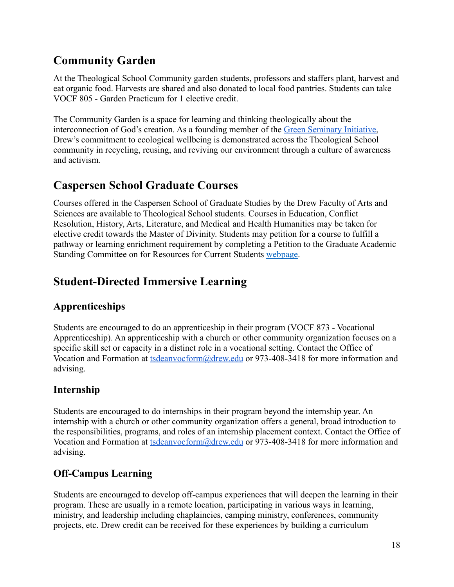### <span id="page-18-0"></span>**Community Garden**

At the Theological School Community garden students, professors and staffers plant, harvest and eat organic food. Harvests are shared and also donated to local food pantries. Students can take VOCF 805 - Garden Practicum for 1 elective credit.

The Community Garden is a space for learning and thinking theologically about the interconnection of God's creation. As a founding member of the [Green Seminary Initiative,](https://www.greenseminaries.org/) Drew's commitment to ecological wellbeing is demonstrated across the Theological School community in recycling, reusing, and reviving our environment through a culture of awareness and activism.

#### <span id="page-18-1"></span>**Caspersen School Graduate Courses**

Courses offered in the Caspersen School of Graduate Studies by the Drew Faculty of Arts and Sciences are available to Theological School students. Courses in Education, Conflict Resolution, History, Arts, Literature, and Medical and Health Humanities may be taken for elective credit towards the Master of Divinity. Students may petition for a course to fulfill a pathway or learning enrichment requirement by completing a Petition to the Graduate Academic Standing Committee on for Resources for Current Students [webpage.](http://www.drew.edu/theological-school/resources/)

### <span id="page-18-2"></span>**Student-Directed Immersive Learning**

#### **Apprenticeships**

Students are encouraged to do an apprenticeship in their program (VOCF 873 - Vocational Apprenticeship). An apprenticeship with a church or other community organization focuses on a specific skill set or capacity in a distinct role in a vocational setting. Contact the Office of Vocation and Formation at [tsdeanvocform@drew.edu](mailto:tsdeanvocform@drew.edu) or 973-408-3418 for more information and advising.

#### **Internship**

Students are encouraged to do internships in their program beyond the internship year. An internship with a church or other community organization offers a general, broad introduction to the responsibilities, programs, and roles of an internship placement context. Contact the Office of Vocation and Formation at [tsdeanvocform@drew.edu](mailto:tsdeanvocform@drew.edu) or 973-408-3418 for more information and advising.

#### **Off-Campus Learning**

Students are encouraged to develop off-campus experiences that will deepen the learning in their program. These are usually in a remote location, participating in various ways in learning, ministry, and leadership including chaplaincies, camping ministry, conferences, community projects, etc. Drew credit can be received for these experiences by building a curriculum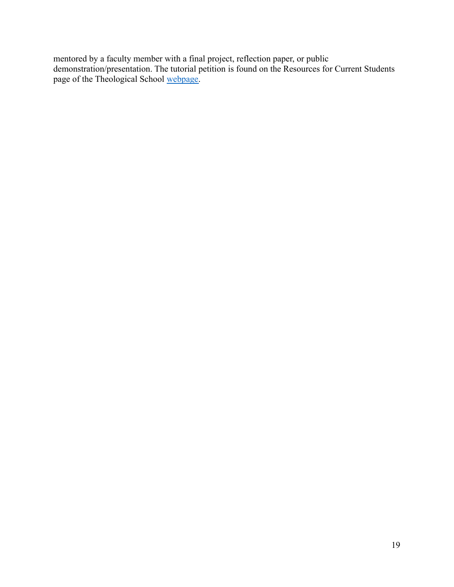mentored by a faculty member with a final project, reflection paper, or public demonstration/presentation. The tutorial petition is found on the Resources for Current Students page of the Theological School [webpage.](http://www.drew.edu/theological-school/resources/)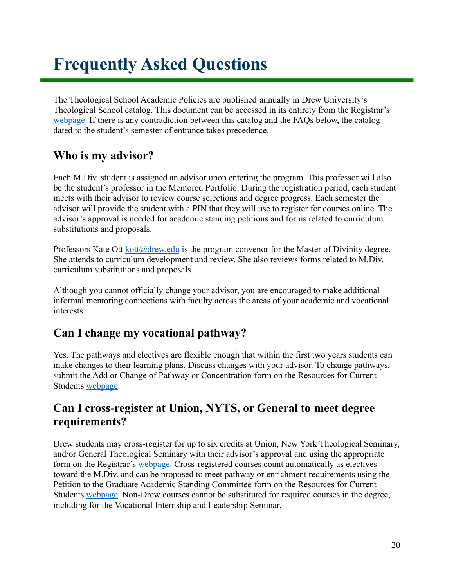# <span id="page-20-0"></span>**Frequently Asked Questions**

The Theological School Academic Policies are published annually in Drew University's Theological School catalog. This document can be accessed in its entirety from the Registrar's [webpage.](http://www.drew.edu/registrars-office/) If there is any contradiction between this catalog and the FAQs below, the catalog dated to the student's semester of entrance takes precedence.

#### **Who is my advisor?**

Each M.Div. student is assigned an advisor upon entering the program. This professor will also be the student's professor in the Mentored Portfolio. During the registration period, each student meets with their advisor to review course selections and degree progress. Each semester the advisor will provide the student with a PIN that they will use to register for courses online. The advisor's approval is needed for academic standing petitions and forms related to curriculum substitutions and proposals.

Professors Kate Ott [kott@drew.edu](mailto:kott@drew.edu) is the program convenor for the Master of Divinity degree. She attends to curriculum development and review. She also reviews forms related to M.Div. curriculum substitutions and proposals.

Although you cannot officially change your advisor, you are encouraged to make additional informal mentoring connections with faculty across the areas of your academic and vocational interests.

#### **Can I change my vocational pathway?**

Yes. The pathways and electives are flexible enough that within the first two years students can make changes to their learning plans. Discuss changes with your advisor. To change pathways, submit the Add or Change of Pathway or Concentration form on the Resources for Current Students [webpage.](http://www.drew.edu/theological-school/resources/)

#### **Can I cross-register at Union, NYTS, or General to meet degree requirements?**

Drew students may cross-register for up to six credits at Union, New York Theological Seminary, and/or General Theological Seminary with their advisor's approval and using the appropriate form on the Registrar's [webpage.](http://www.drew.edu/registrars-office/) Cross-registered courses count automatically as electives toward the M.Div. and can be proposed to meet pathway or enrichment requirements using the Petition to the Graduate Academic Standing Committee form on the Resources for Current Students [webpage.](http://www.drew.edu/theological-school/resources/) Non-Drew courses cannot be substituted for required courses in the degree, including for the Vocational Internship and Leadership Seminar.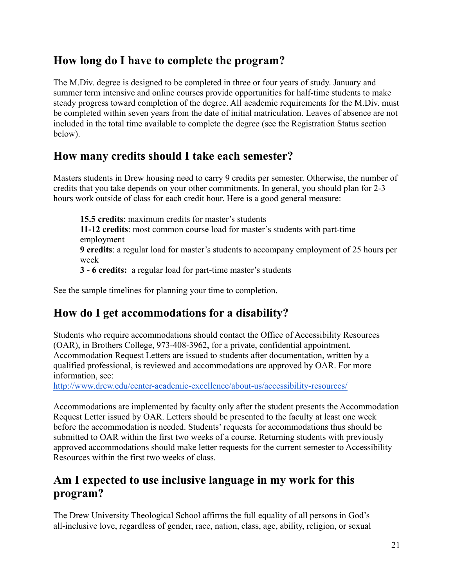#### **How long do I have to complete the program?**

The M.Div. degree is designed to be completed in three or four years of study. January and summer term intensive and online courses provide opportunities for half-time students to make steady progress toward completion of the degree. All academic requirements for the M.Div. must be completed within seven years from the date of initial matriculation. Leaves of absence are not included in the total time available to complete the degree (see the Registration Status section below).

#### **How many credits should I take each semester?**

Masters students in Drew housing need to carry 9 credits per semester. Otherwise, the number of credits that you take depends on your other commitments. In general, you should plan for 2-3 hours work outside of class for each credit hour. Here is a good general measure:

**15.5 credits**: maximum credits for master's students **11-12 credits**: most common course load for master's students with part-time employment **9 credits**: a regular load for master's students to accompany employment of 25 hours per week **3 - 6 credits:** a regular load for part-time master's students

See the sample timelines for planning your time to completion.

#### **How do I get accommodations for a disability?**

Students who require accommodations should contact the Office of Accessibility Resources (OAR), in Brothers College, 973-408-3962, for a private, confidential appointment. Accommodation Request Letters are issued to students after documentation, written by a qualified professional, is reviewed and accommodations are approved by OAR. For more information, see:

<http://www.drew.edu/center-academic-excellence/about-us/accessibility-resources/>

Accommodations are implemented by faculty only after the student presents the Accommodation Request Letter issued by OAR. Letters should be presented to the faculty at least one week before the accommodation is needed. Students' requests for accommodations thus should be submitted to OAR within the first two weeks of a course. Returning students with previously approved accommodations should make letter requests for the current semester to Accessibility Resources within the first two weeks of class.

#### **Am I expected to use inclusive language in my work for this program?**

The Drew University Theological School affirms the full equality of all persons in God's all-inclusive love, regardless of gender, race, nation, class, age, ability, religion, or sexual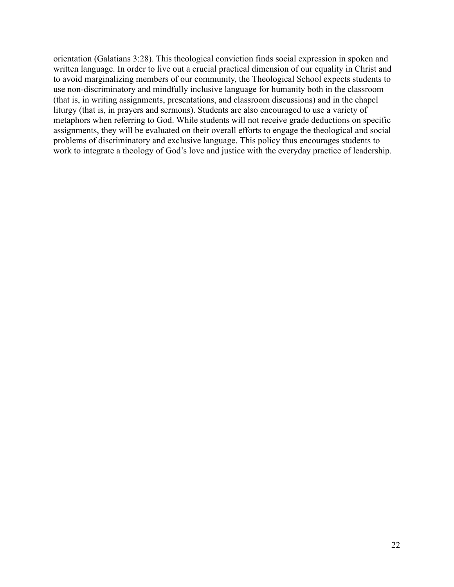orientation (Galatians 3:28). This theological conviction finds social expression in spoken and written language. In order to live out a crucial practical dimension of our equality in Christ and to avoid marginalizing members of our community, the Theological School expects students to use non-discriminatory and mindfully inclusive language for humanity both in the classroom (that is, in writing assignments, presentations, and classroom discussions) and in the chapel liturgy (that is, in prayers and sermons). Students are also encouraged to use a variety of metaphors when referring to God. While students will not receive grade deductions on specific assignments, they will be evaluated on their overall efforts to engage the theological and social problems of discriminatory and exclusive language. This policy thus encourages students to work to integrate a theology of God's love and justice with the everyday practice of leadership.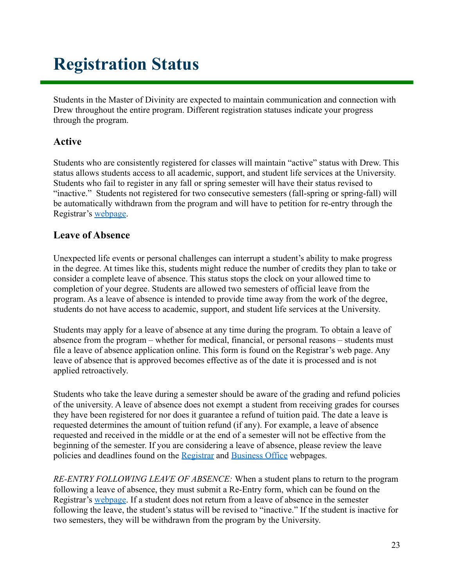# <span id="page-23-0"></span>**Registration Status**

Students in the Master of Divinity are expected to maintain communication and connection with Drew throughout the entire program. Different registration statuses indicate your progress through the program.

#### **Active**

Students who are consistently registered for classes will maintain "active" status with Drew. This status allows students access to all academic, support, and student life services at the University. Students who fail to register in any fall or spring semester will have their status revised to "inactive." Students not registered for two consecutive semesters (fall-spring or spring-fall) will be automatically withdrawn from the program and will have to petition for re-entry through the Registrar's [webpage](http://www.drew.edu/registrars-office/).

#### **Leave of Absence**

Unexpected life events or personal challenges can interrupt a student's ability to make progress in the degree. At times like this, students might reduce the number of credits they plan to take or consider a complete leave of absence. This status stops the clock on your allowed time to completion of your degree. Students are allowed two semesters of official leave from the program. As a leave of absence is intended to provide time away from the work of the degree, students do not have access to academic, support, and student life services at the University.

Students may apply for a leave of absence at any time during the program. To obtain a leave of absence from the program – whether for medical, financial, or personal reasons – students must file a leave of absence application online. This form is found on the Registrar's web page. Any leave of absence that is approved becomes effective as of the date it is processed and is not applied retroactively.

Students who take the leave during a semester should be aware of the grading and refund policies of the university. A leave of absence does not exempt a student from receiving grades for courses they have been registered for nor does it guarantee a refund of tuition paid. The date a leave is requested determines the amount of tuition refund (if any). For example, a leave of absence requested and received in the middle or at the end of a semester will not be effective from the beginning of the semester. If you are considering a leave of absence, please review the leave policies and deadlines found on the [Registrar](http://www.drew.edu/registrars-office/) and [Business Office](http://www.drew.edu/fba/student-accounts/) webpages.

*RE-ENTRY FOLLOWING LEAVE OF ABSENCE:* When a student plans to return to the program following a leave of absence, they must submit a Re-Entry form, which can be found on the Registrar's [webpage](http://www.drew.edu/registrars-office/). If a student does not return from a leave of absence in the semester following the leave, the student's status will be revised to "inactive." If the student is inactive for two semesters, they will be withdrawn from the program by the University.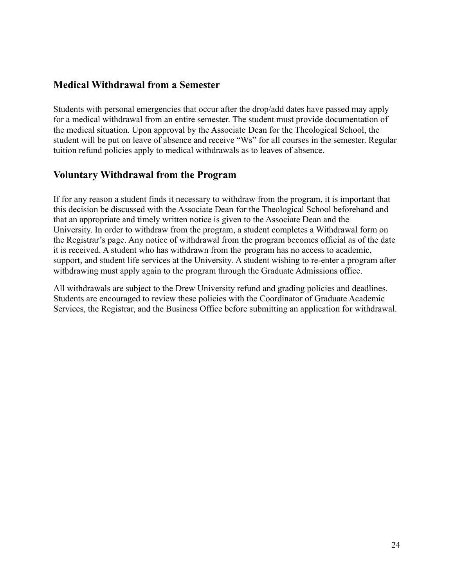#### **Medical Withdrawal from a Semester**

Students with personal emergencies that occur after the drop/add dates have passed may apply for a medical withdrawal from an entire semester. The student must provide documentation of the medical situation. Upon approval by the Associate Dean for the Theological School, the student will be put on leave of absence and receive "Ws" for all courses in the semester. Regular tuition refund policies apply to medical withdrawals as to leaves of absence.

#### **Voluntary Withdrawal from the Program**

If for any reason a student finds it necessary to withdraw from the program, it is important that this decision be discussed with the Associate Dean for the Theological School beforehand and that an appropriate and timely written notice is given to the Associate Dean and the University. In order to withdraw from the program, a student completes a Withdrawal form on the Registrar's page. Any notice of withdrawal from the program becomes official as of the date it is received. A student who has withdrawn from the program has no access to academic, support, and student life services at the University. A student wishing to re-enter a program after withdrawing must apply again to the program through the Graduate Admissions office.

All withdrawals are subject to the Drew University refund and grading policies and deadlines. Students are encouraged to review these policies with the Coordinator of Graduate Academic Services, the Registrar, and the Business Office before submitting an application for withdrawal.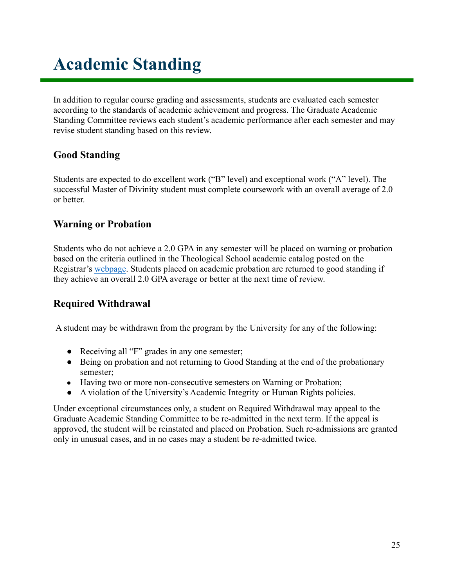# **Academic Standing**

In addition to regular course grading and assessments, students are evaluated each semester according to the standards of academic achievement and progress. The Graduate Academic Standing Committee reviews each student's academic performance after each semester and may revise student standing based on this review.

#### **Good Standing**

Students are expected to do excellent work ("B" level) and exceptional work ("A" level). The successful Master of Divinity student must complete coursework with an overall average of 2.0 or better.

#### **Warning or Probation**

Students who do not achieve a 2.0 GPA in any semester will be placed on warning or probation based on the criteria outlined in the Theological School academic catalog posted on the Registrar's [webpage](http://www.drew.edu/registrars-office/). Students placed on academic probation are returned to good standing if they achieve an overall 2.0 GPA average or better at the next time of review.

#### **Required Withdrawal**

A student may be withdrawn from the program by the University for any of the following:

- Receiving all "F" grades in any one semester;
- Being on probation and not returning to Good Standing at the end of the probationary semester;
- Having two or more non-consecutive semesters on Warning or Probation;
- A violation of the University's Academic Integrity or Human Rights policies.

Under exceptional circumstances only, a student on Required Withdrawal may appeal to the Graduate Academic Standing Committee to be re-admitted in the next term. If the appeal is approved, the student will be reinstated and placed on Probation. Such re-admissions are granted only in unusual cases, and in no cases may a student be re-admitted twice.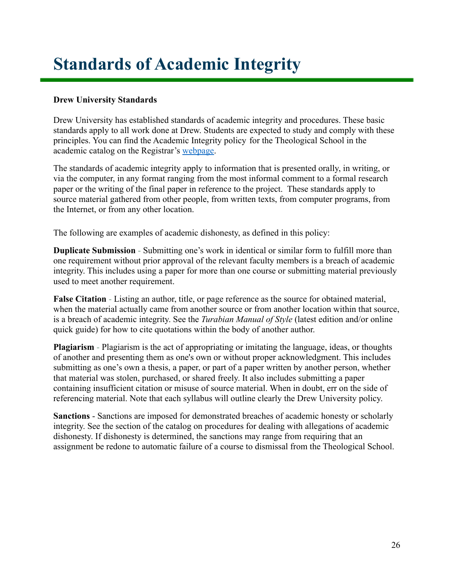# <span id="page-26-0"></span>**Standards of Academic Integrity**

#### **Drew University Standards**

Drew University has established standards of academic integrity and procedures. These basic standards apply to all work done at Drew. Students are expected to study and comply with these principles. You can find the Academic Integrity policy for the Theological School in the academic catalog on the Registrar's [webpage.](http://catalog.drew.edu/index.php?catoid=36)

The standards of academic integrity apply to information that is presented orally, in writing, or via the computer, in any format ranging from the most informal comment to a formal research paper or the writing of the final paper in reference to the project. These standards apply to source material gathered from other people, from written texts, from computer programs, from the Internet, or from any other location.

The following are examples of academic dishonesty, as defined in this policy:

**Duplicate Submission** - Submitting one's work in identical or similar form to fulfill more than one requirement without prior approval of the relevant faculty members is a breach of academic integrity. This includes using a paper for more than one course or submitting material previously used to meet another requirement.

**False Citation** - Listing an author, title, or page reference as the source for obtained material, when the material actually came from another source or from another location within that source, is a breach of academic integrity. See the *Turabian Manual of Style* (latest edition and/or online quick guide) for how to cite quotations within the body of another author.

**Plagiarism** - Plagiarism is the act of appropriating or imitating the language, ideas, or thoughts of another and presenting them as one's own or without proper acknowledgment. This includes submitting as one's own a thesis, a paper, or part of a paper written by another person, whether that material was stolen, purchased, or shared freely. It also includes submitting a paper containing insufficient citation or misuse of source material. When in doubt, err on the side of referencing material. Note that each syllabus will outline clearly the Drew University policy.

**Sanctions** - Sanctions are imposed for demonstrated breaches of academic honesty or scholarly integrity. See the section of the catalog on procedures for dealing with allegations of academic dishonesty. If dishonesty is determined, the sanctions may range from requiring that an assignment be redone to automatic failure of a course to dismissal from the Theological School.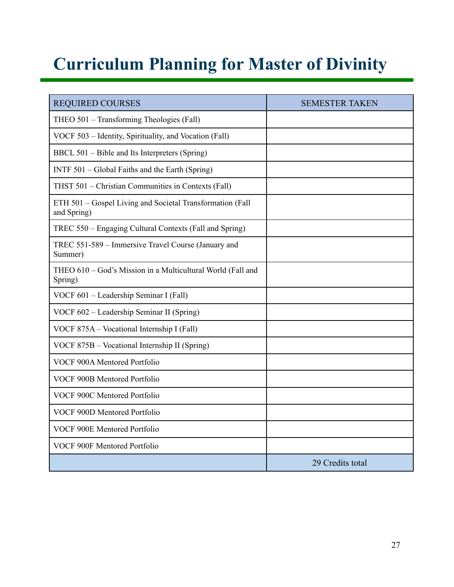# <span id="page-27-0"></span>**Curriculum Planning for Master of Divinity**

| <b>REQUIRED COURSES</b>                                                  | <b>SEMESTER TAKEN</b> |
|--------------------------------------------------------------------------|-----------------------|
| THEO 501 - Transforming Theologies (Fall)                                |                       |
| VOCF 503 - Identity, Spirituality, and Vocation (Fall)                   |                       |
| BBCL 501 – Bible and Its Interpreters (Spring)                           |                       |
| INTF 501 – Global Faiths and the Earth (Spring)                          |                       |
| THST 501 - Christian Communities in Contexts (Fall)                      |                       |
| ETH 501 - Gospel Living and Societal Transformation (Fall<br>and Spring) |                       |
| TREC 550 – Engaging Cultural Contexts (Fall and Spring)                  |                       |
| TREC 551-589 - Immersive Travel Course (January and<br>Summer)           |                       |
| THEO 610 - God's Mission in a Multicultural World (Fall and<br>Spring)   |                       |
| VOCF 601 - Leadership Seminar I (Fall)                                   |                       |
| VOCF 602 – Leadership Seminar II (Spring)                                |                       |
| VOCF 875A - Vocational Internship I (Fall)                               |                       |
| VOCF 875B – Vocational Internship II (Spring)                            |                       |
| VOCF 900A Mentored Portfolio                                             |                       |
| VOCF 900B Mentored Portfolio                                             |                       |
| VOCF 900C Mentored Portfolio                                             |                       |
| VOCF 900D Mentored Portfolio                                             |                       |
| VOCF 900E Mentored Portfolio                                             |                       |
| VOCF 900F Mentored Portfolio                                             |                       |
|                                                                          | 29 Credits total      |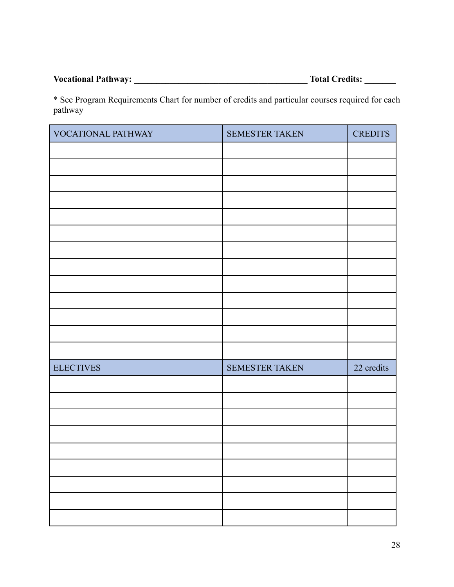**Vocational Pathway: \_\_\_\_\_\_\_\_\_\_\_\_\_\_\_\_\_\_\_\_\_\_\_\_\_\_\_\_\_\_\_\_\_\_\_\_\_\_\_ Total Credits: \_\_\_\_\_\_\_**

\* See Program Requirements Chart for number of credits and particular courses required for each pathway

| VOCATIONAL PATHWAY | SEMESTER TAKEN | <b>CREDITS</b> |
|--------------------|----------------|----------------|
|                    |                |                |
|                    |                |                |
|                    |                |                |
|                    |                |                |
|                    |                |                |
|                    |                |                |
|                    |                |                |
|                    |                |                |
|                    |                |                |
|                    |                |                |
|                    |                |                |
|                    |                |                |
|                    |                |                |
| <b>ELECTIVES</b>   | SEMESTER TAKEN | 22 credits     |
|                    |                |                |
|                    |                |                |
|                    |                |                |
|                    |                |                |
|                    |                |                |
|                    |                |                |
|                    |                |                |
|                    |                |                |
|                    |                |                |